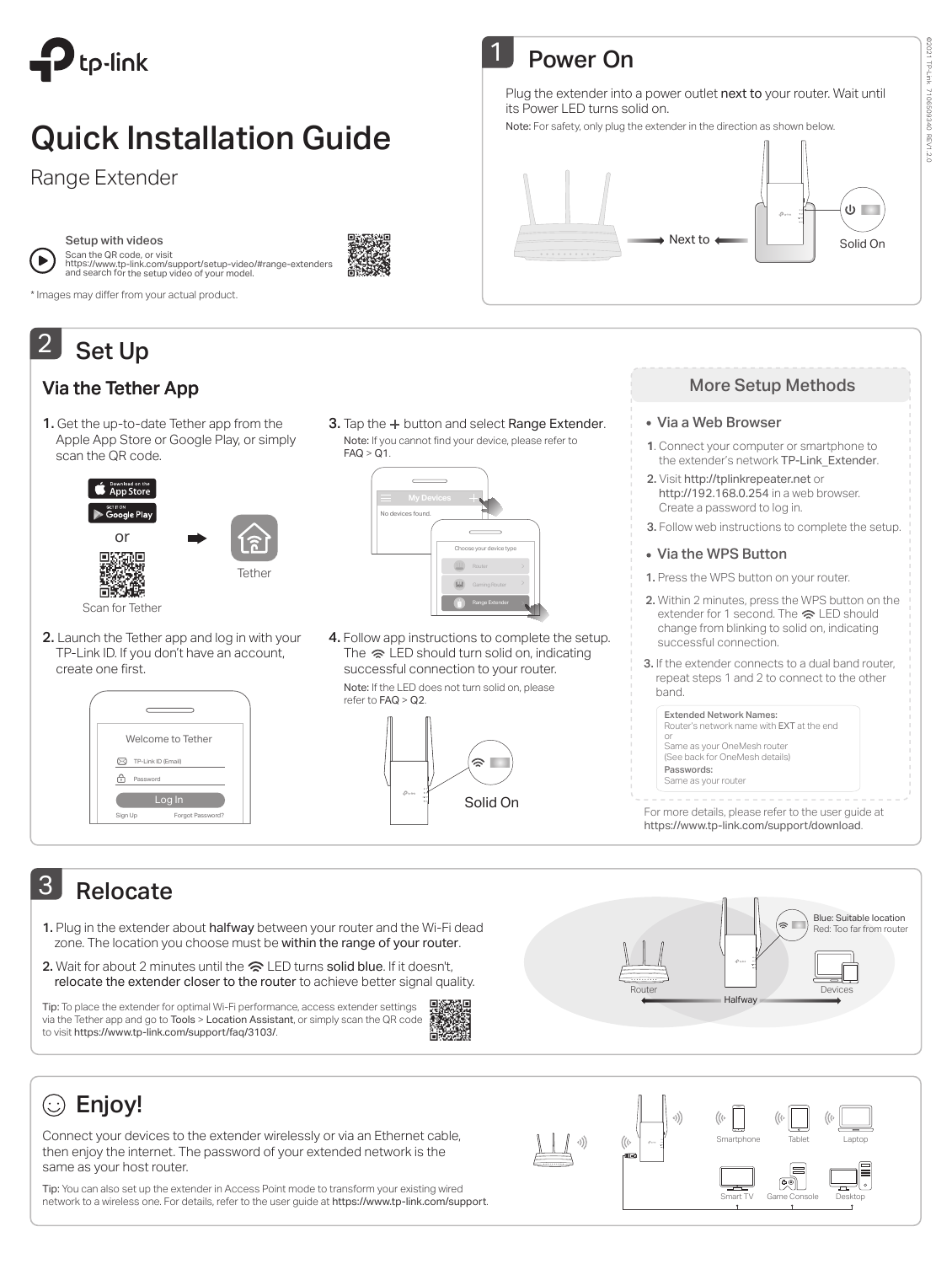

# Quick Installation Guide

Range Extender



Setup with videos

Scan the QR code, or visit<br>https://www.tp-link.com/support/setup-video/#range-extenders<br>and search for the setup video of your model.

\* Images may differ from your actual product.

### Set Up 2

### Via the Tether App

1. Get the up-to-date Tether app from the Apple App Store or Google Play, or simply scan the QR code.



2. Launch the Tether app and log in with your TP-Link ID. If you don't have an account, create one first.

| Welcome to Tether                   |  |
|-------------------------------------|--|
| TP-Link ID (Email)<br>Password<br>٠ |  |
| Log In                              |  |
| Sign Up<br>Forgot Password?         |  |

3. Tap the + button and select Range Extender. Note: If you cannot find your device, please refer to  $FAO > O1$ 

Power On

its Power LED turns solid on.

 $\overline{\mathbf{1}}$ 

| <b>My Devices</b><br>No devices found. |                         |
|----------------------------------------|-------------------------|
|                                        |                         |
|                                        | Choose your device type |
|                                        | Router                  |
|                                        | Gaming Router           |
|                                        | Range Extender          |

4. Follow app instructions to complete the setup. The  $\approx$  LED should turn solid on, indicating successful connection to your router.

Note: If the LED does not turn solid on, please refer to FAQ > Q2.



### More Setup Methods

Next to  $\begin{array}{|c|c|c|c|c|}\n\hline\n\end{array}$  Solid On

### Via a Web Browser

Plug the extender into a power outlet next to your router. Wait until

Note: For safety, only plug the extender in the direction as shown below.

- **1**. Connect your computer or smartphone to the extender's network TP-Link\_Extender.
- 2. Visit http://tplinkrepeater.net or http://192.168.0.254 in a web browser. Create a password to log in.
- 3. Follow web instructions to complete the setup.
- Via the WPS Button

1. Press the WPS button on your router.

- 2. Within 2 minutes, press the WPS button on the extender for 1 second. The  $\approx$  LED should change from blinking to solid on, indicating successful connection.
- 3. If the extender connects to a dual band router, repeat steps 1 and 2 to connect to the other band.

Extended Network Names: Router's network name with EXT at the end or Same as your OneMesh router (See back for OneMesh details) Passwords:

Same as your router

For more details, please refer to the user guide at https://www.tp-link.com/support/download.

# 3 Relocate

- 1. Plug in the extender about halfway between your router and the Wi-Fi dead zone. The location you choose must be within the range of your router.
- 2. Wait for about 2 minutes until the  $\approx$  LED turns solid blue. If it doesn't, relocate the extender closer to the router to achieve better signal quality.

Tip: To place the extender for optimal Wi-Fi performance, access extender settings via the Tether app and go to Tools > Location Assistant, or simply scan the QR code to visit https://www.tp-link.com/support/faq/3103/.





# Enjoy!

Connect your devices to the extender wirelessly or via an Ethernet cable, then enjoy the internet. The password of your extended network is the same as your host router.

Tip: You can also set up the extender in Access Point mode to transform your existing wired network to a wireless one. For details, refer to the user guide at https://www.tp-link.com/support.



# @2021 TP-Link ©2021 TP-Link 7106509340 REV1.2.C 7106509340 REV1.2.0

 $\overline{\mathbb{Q}}$